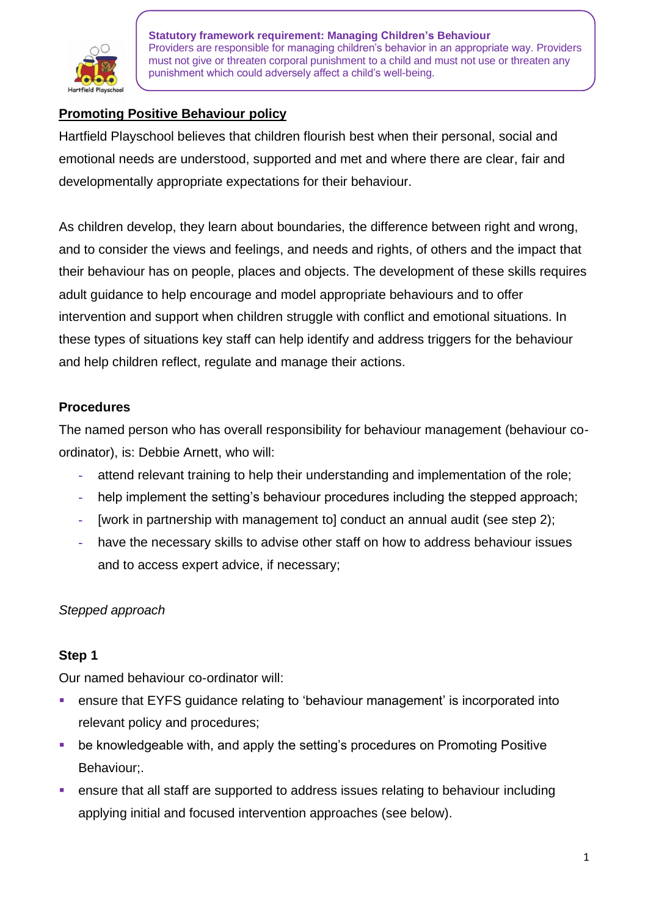

# **Promoting Positive Behaviour policy**

Hartfield Playschool believes that children flourish best when their personal, social and emotional needs are understood, supported and met and where there are clear, fair and developmentally appropriate expectations for their behaviour.

As children develop, they learn about boundaries, the difference between right and wrong, and to consider the views and feelings, and needs and rights, of others and the impact that their behaviour has on people, places and objects. The development of these skills requires adult guidance to help encourage and model appropriate behaviours and to offer intervention and support when children struggle with conflict and emotional situations. In these types of situations key staff can help identify and address triggers for the behaviour and help children reflect, regulate and manage their actions.

## **Procedures**

The named person who has overall responsibility for behaviour management (behaviour coordinator), is: Debbie Arnett, who will:

- **-** attend relevant training to help their understanding and implementation of the role;
- **-** help implement the setting's behaviour procedures including the stepped approach;
- **-** [work in partnership with management to] conduct an annual audit (see step 2);
- **-** have the necessary skills to advise other staff on how to address behaviour issues and to access expert advice, if necessary;

## *Stepped approach*

## **Step 1**

Our named behaviour co-ordinator will:

- ensure that EYFS guidance relating to 'behaviour management' is incorporated into relevant policy and procedures;
- be knowledgeable with, and apply the setting's procedures on Promoting Positive Behaviour;.
- ensure that all staff are supported to address issues relating to behaviour including applying initial and focused intervention approaches (see below).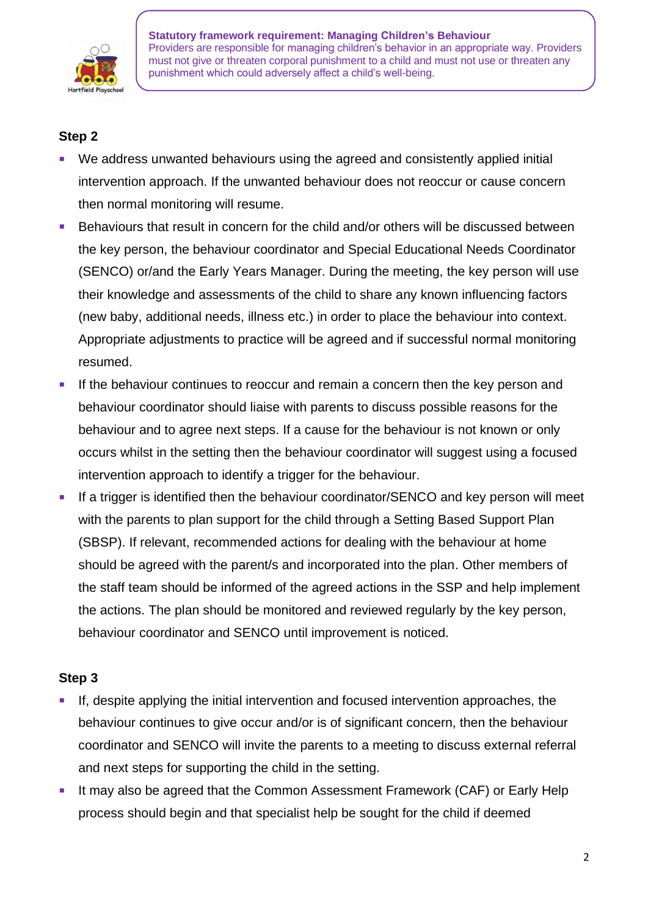

## **Step 2**

- We address unwanted behaviours using the agreed and consistently applied initial intervention approach. If the unwanted behaviour does not reoccur or cause concern then normal monitoring will resume.
- Behaviours that result in concern for the child and/or others will be discussed between the key person, the behaviour coordinator and Special Educational Needs Coordinator (SENCO) or/and the Early Years Manager. During the meeting, the key person will use their knowledge and assessments of the child to share any known influencing factors (new baby, additional needs, illness etc.) in order to place the behaviour into context. Appropriate adjustments to practice will be agreed and if successful normal monitoring resumed.
- If the behaviour continues to reoccur and remain a concern then the key person and behaviour coordinator should liaise with parents to discuss possible reasons for the behaviour and to agree next steps. If a cause for the behaviour is not known or only occurs whilst in the setting then the behaviour coordinator will suggest using a focused intervention approach to identify a trigger for the behaviour.
- If a trigger is identified then the behaviour coordinator/SENCO and key person will meet with the parents to plan support for the child through a Setting Based Support Plan (SBSP). If relevant, recommended actions for dealing with the behaviour at home should be agreed with the parent/s and incorporated into the plan. Other members of the staff team should be informed of the agreed actions in the SSP and help implement the actions. The plan should be monitored and reviewed regularly by the key person, behaviour coordinator and SENCO until improvement is noticed.

## **Step 3**

- If, despite applying the initial intervention and focused intervention approaches, the behaviour continues to give occur and/or is of significant concern, then the behaviour coordinator and SENCO will invite the parents to a meeting to discuss external referral and next steps for supporting the child in the setting.
- It may also be agreed that the Common Assessment Framework (CAF) or Early Help process should begin and that specialist help be sought for the child if deemed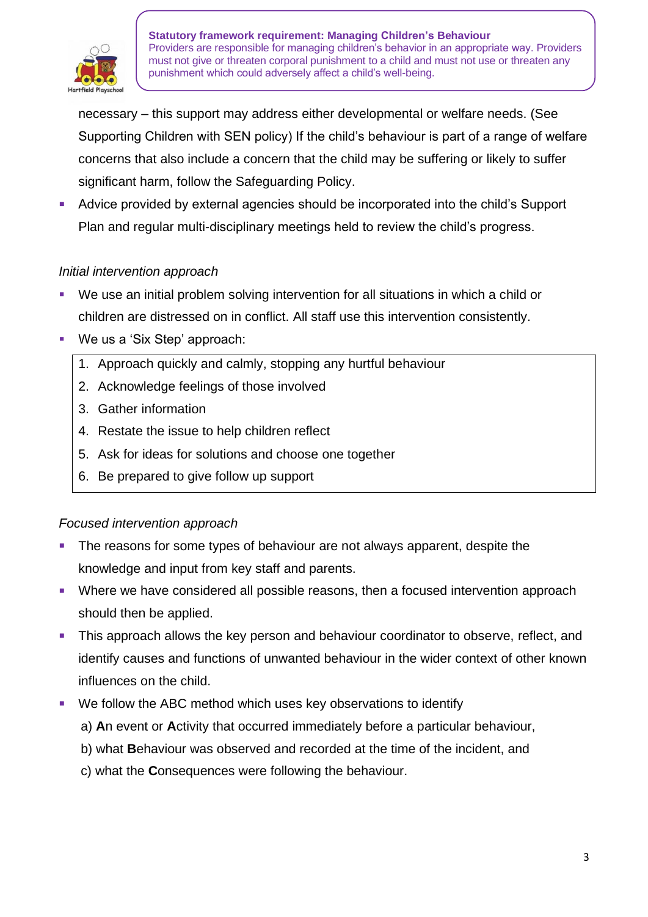

necessary – this support may address either developmental or welfare needs. (See Supporting Children with SEN policy) If the child's behaviour is part of a range of welfare concerns that also include a concern that the child may be suffering or likely to suffer significant harm, follow the Safeguarding Policy.

Advice provided by external agencies should be incorporated into the child's Support Plan and regular multi-disciplinary meetings held to review the child's progress.

#### *Initial intervention approach*

- We use an initial problem solving intervention for all situations in which a child or children are distressed on in conflict. All staff use this intervention consistently.
- We us a 'Six Step' approach:
	- 1. Approach quickly and calmly, stopping any hurtful behaviour
	- 2. Acknowledge feelings of those involved
	- 3. Gather information
	- 4. Restate the issue to help children reflect
	- 5. Ask for ideas for solutions and choose one together
	- 6. Be prepared to give follow up support

## *Focused intervention approach*

- The reasons for some types of behaviour are not always apparent, despite the knowledge and input from key staff and parents.
- Where we have considered all possible reasons, then a focused intervention approach should then be applied.
- This approach allows the key person and behaviour coordinator to observe, reflect, and identify causes and functions of unwanted behaviour in the wider context of other known influences on the child.
- We follow the ABC method which uses key observations to identify
	- a) **A**n event or **A**ctivity that occurred immediately before a particular behaviour,
	- b) what **B**ehaviour was observed and recorded at the time of the incident, and
	- c) what the **C**onsequences were following the behaviour.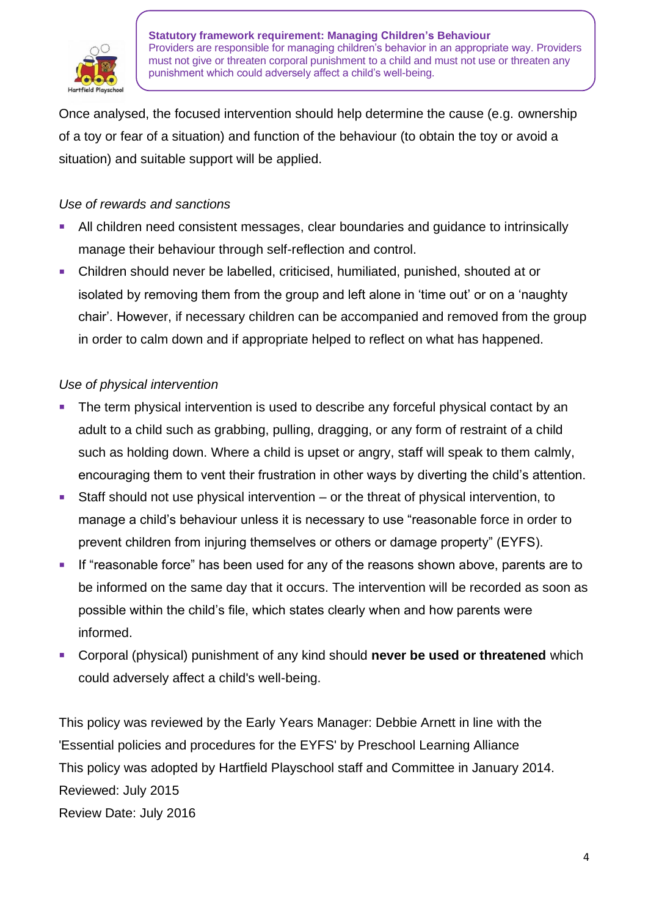

Once analysed, the focused intervention should help determine the cause (e.g. ownership of a toy or fear of a situation) and function of the behaviour (to obtain the toy or avoid a situation) and suitable support will be applied.

#### *Use of rewards and sanctions*

- All children need consistent messages, clear boundaries and guidance to intrinsically manage their behaviour through self-reflection and control.
- Children should never be labelled, criticised, humiliated, punished, shouted at or isolated by removing them from the group and left alone in 'time out' or on a 'naughty chair'. However, if necessary children can be accompanied and removed from the group in order to calm down and if appropriate helped to reflect on what has happened.

#### *Use of physical intervention*

- The term physical intervention is used to describe any forceful physical contact by an adult to a child such as grabbing, pulling, dragging, or any form of restraint of a child such as holding down. Where a child is upset or angry, staff will speak to them calmly, encouraging them to vent their frustration in other ways by diverting the child's attention.
- Staff should not use physical intervention or the threat of physical intervention, to manage a child's behaviour unless it is necessary to use "reasonable force in order to prevent children from injuring themselves or others or damage property" (EYFS).
- If "reasonable force" has been used for any of the reasons shown above, parents are to be informed on the same day that it occurs. The intervention will be recorded as soon as possible within the child's file, which states clearly when and how parents were informed.
- Corporal (physical) punishment of any kind should never be used or threatened which could adversely affect a child's well-being.

This policy was reviewed by the Early Years Manager: Debbie Arnett in line with the 'Essential policies and procedures for the EYFS' by Preschool Learning Alliance This policy was adopted by Hartfield Playschool staff and Committee in January 2014. Reviewed: July 2015 Review Date: July 2016